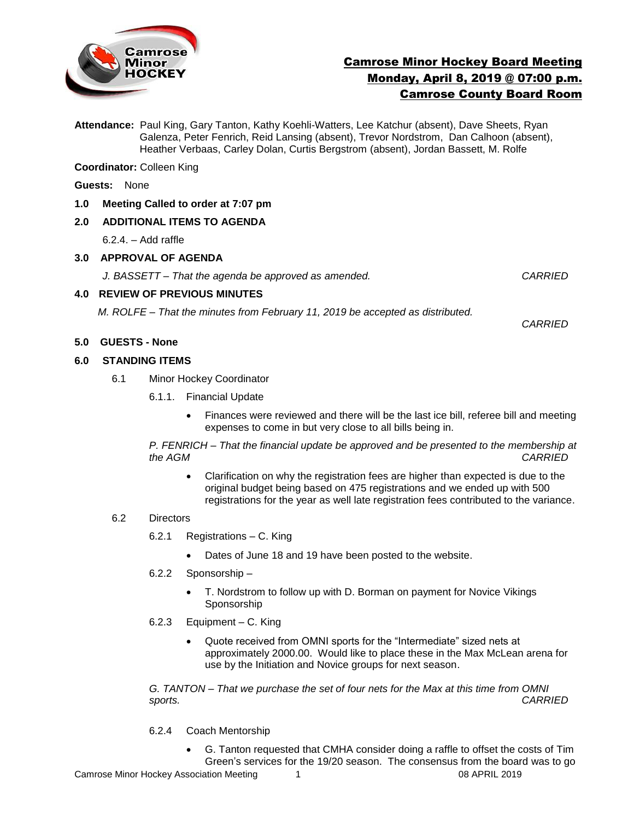

# Camrose Minor Hockey Board Meeting Monday, April 8, 2019 @ 07:00 p.m. Camrose County Board Room

**Attendance:** Paul King, Gary Tanton, Kathy Koehli-Watters, Lee Katchur (absent), Dave Sheets, Ryan Galenza, Peter Fenrich, Reid Lansing (absent), Trevor Nordstrom, Dan Calhoon (absent), Heather Verbaas, Carley Dolan, Curtis Bergstrom (absent), Jordan Bassett, M. Rolfe

**Coordinator:** Colleen King

- **Guests:** None
- **1.0 Meeting Called to order at 7:07 pm**

## **2.0 ADDITIONAL ITEMS TO AGENDA**

6.2.4. – Add raffle

#### **3.0 APPROVAL OF AGENDA**

*J. BASSETT – That the agenda be approved as amended. CARRIED*

#### **4.0 REVIEW OF PREVIOUS MINUTES**

*M. ROLFE – That the minutes from February 11, 2019 be accepted as distributed.* 

*CARRIED*

# **5.0 GUESTS - None**

# **6.0 STANDING ITEMS**

- 6.1Minor Hockey Coordinator
	- 6.1.1. Financial Update
		- Finances were reviewed and there will be the last ice bill, referee bill and meeting expenses to come in but very close to all bills being in.

*P. FENRICH – That the financial update be approved and be presented to the membership at the AGM CARRIED*

 Clarification on why the registration fees are higher than expected is due to the original budget being based on 475 registrations and we ended up with 500 registrations for the year as well late registration fees contributed to the variance.

## 6.2 Directors

- 6.2.1 Registrations C. King
	- Dates of June 18 and 19 have been posted to the website.
- 6.2.2 Sponsorship
	- T. Nordstrom to follow up with D. Borman on payment for Novice Vikings Sponsorship
- 6.2.3 Equipment C. King
	- Quote received from OMNI sports for the "Intermediate" sized nets at approximately 2000.00. Would like to place these in the Max McLean arena for use by the Initiation and Novice groups for next season.

*G. TANTON – That we purchase the set of four nets for the Max at this time from OMNI sports. CARRIED*

- 6.2.4 Coach Mentorship
	- G. Tanton requested that CMHA consider doing a raffle to offset the costs of Tim Green's services for the 19/20 season. The consensus from the board was to go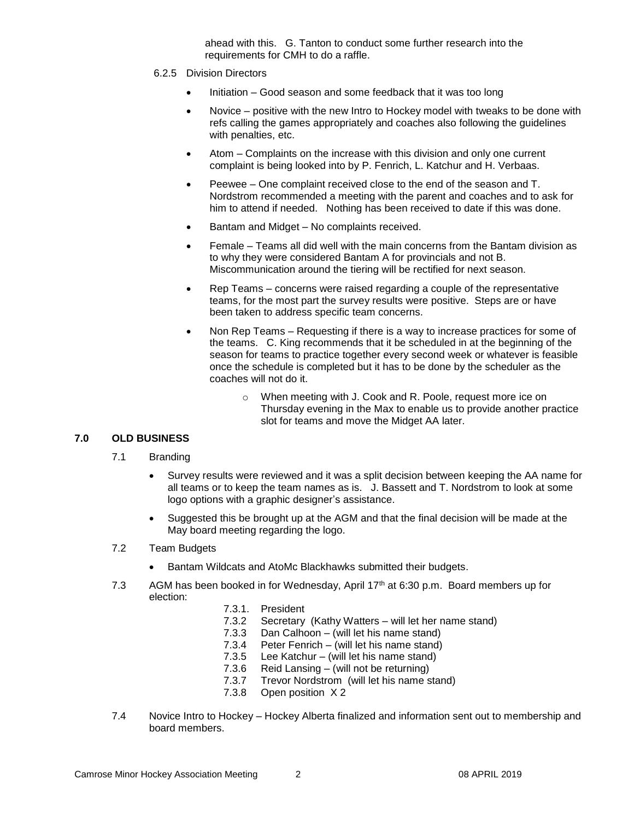ahead with this. G. Tanton to conduct some further research into the requirements for CMH to do a raffle.

- 6.2.5 Division Directors
	- Initiation Good season and some feedback that it was too long
	- Novice positive with the new Intro to Hockey model with tweaks to be done with refs calling the games appropriately and coaches also following the guidelines with penalties, etc.
	- Atom Complaints on the increase with this division and only one current complaint is being looked into by P. Fenrich, L. Katchur and H. Verbaas.
	- Peewee One complaint received close to the end of the season and T. Nordstrom recommended a meeting with the parent and coaches and to ask for him to attend if needed. Nothing has been received to date if this was done.
	- Bantam and Midget No complaints received.
	- Female Teams all did well with the main concerns from the Bantam division as to why they were considered Bantam A for provincials and not B. Miscommunication around the tiering will be rectified for next season.
	- Rep Teams concerns were raised regarding a couple of the representative teams, for the most part the survey results were positive. Steps are or have been taken to address specific team concerns.
	- Non Rep Teams Requesting if there is a way to increase practices for some of the teams. C. King recommends that it be scheduled in at the beginning of the season for teams to practice together every second week or whatever is feasible once the schedule is completed but it has to be done by the scheduler as the coaches will not do it.
		- o When meeting with J. Cook and R. Poole, request more ice on Thursday evening in the Max to enable us to provide another practice slot for teams and move the Midget AA later.

# **7.0 OLD BUSINESS**

- 7.1 Branding
	- Survey results were reviewed and it was a split decision between keeping the AA name for all teams or to keep the team names as is. J. Bassett and T. Nordstrom to look at some logo options with a graphic designer's assistance.
	- Suggested this be brought up at the AGM and that the final decision will be made at the May board meeting regarding the logo.

# 7.2 Team Budgets

- Bantam Wildcats and AtoMc Blackhawks submitted their budgets.
- 7.3 AGM has been booked in for Wednesday, April 17<sup>th</sup> at 6:30 p.m. Board members up for election:
	- 7.3.1. President
	- 7.3.2 Secretary (Kathy Watters will let her name stand)
	- 7.3.3 Dan Calhoon (will let his name stand)
	- 7.3.4 Peter Fenrich (will let his name stand)
	- 7.3.5 Lee Katchur (will let his name stand)
	- 7.3.6 Reid Lansing (will not be returning)
	- 7.3.7 Trevor Nordstrom (will let his name stand)
	- 7.3.8 Open position X 2
- 7.4 Novice Intro to Hockey Hockey Alberta finalized and information sent out to membership and board members.